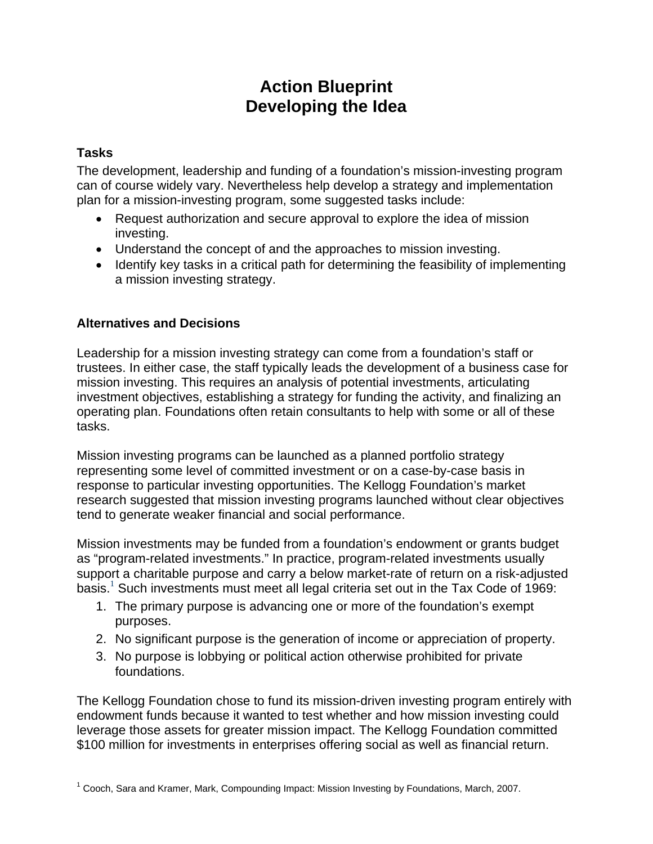# **Action Blueprint Developing the Idea**

## **Tasks**

The development, leadership and funding of a foundation's mission-investing program can of course widely vary. Nevertheless help develop a strategy and implementation plan for a mission-investing program, some suggested tasks include:

- Request authorization and secure approval to explore the idea of mission investing.
- Understand the concept of and the approaches to mission investing.
- Identify key tasks in a critical path for determining the feasibility of implementing a mission investing strategy.

## **Alternatives and Decisions**

Leadership for a mission investing strategy can come from a foundation's staff or trustees. In either case, the staff typically leads the development of a business case for mission investing. This requires an analysis of potential investments, articulating investment objectives, establishing a strategy for funding the activity, and finalizing an operating plan. Foundations often retain consultants to help with some or all of these tasks.

Mission investing programs can be launched as a planned portfolio strategy representing some level of committed investment or on a case-by-case basis in response to particular investing opportunities. The Kellogg Foundation's market research suggested that mission investing programs launched without clear objectives tend to generate weaker financial and social performance.

Mission investments may be funded from a foundation's endowment or grants budget as "program-related investments." In practice, program-related investments usually support a charitable purpose and carry a below market-rate of return on a risk-adjusted basis. $1$  Such investments must meet all legal criteria set out in the Tax Code of 1969:

- 1. The primary purpose is advancing one or more of the foundation's exempt purposes.
- 2. No significant purpose is the generation of income or appreciation of property.
- 3. No purpose is lobbying or political action otherwise prohibited for private foundations.

The Kellogg Foundation chose to fund its mission-driven investing program entirely with endowment funds because it wanted to test whether and how mission investing could leverage those assets for greater mission impact. The Kellogg Foundation committed \$100 million for investments in enterprises offering social as well as financial return.

<sup>&</sup>lt;sup>1</sup> Cooch, Sara and Kramer, Mark, Compounding Impact: Mission Investing by Foundations, March, 2007.